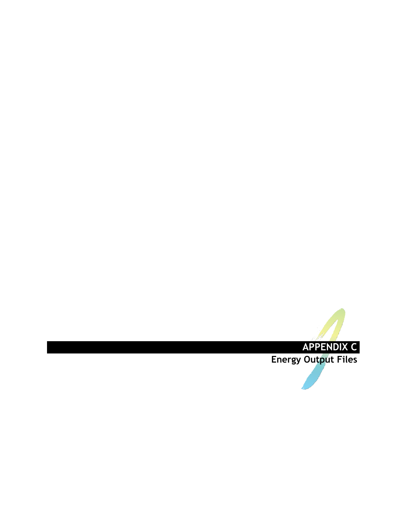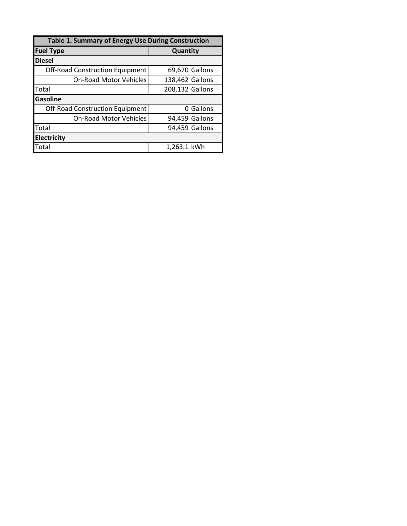| Table 1. Summary of Energy Use During Construction |                 |  |  |  |  |  |  |
|----------------------------------------------------|-----------------|--|--|--|--|--|--|
| <b>Fuel Type</b>                                   | Quantity        |  |  |  |  |  |  |
| <b>Diesel</b>                                      |                 |  |  |  |  |  |  |
| <b>Off-Road Construction Equipment</b>             | 69,670 Gallons  |  |  |  |  |  |  |
| <b>On-Road Motor Vehicles</b>                      | 138,462 Gallons |  |  |  |  |  |  |
| Total                                              | 208,132 Gallons |  |  |  |  |  |  |
| <b>Gasoline</b>                                    |                 |  |  |  |  |  |  |
| <b>Off-Road Construction Equipment</b>             | Gallons<br>n    |  |  |  |  |  |  |
| <b>On-Road Motor Vehicles</b>                      | 94,459 Gallons  |  |  |  |  |  |  |
| Total                                              | 94,459 Gallons  |  |  |  |  |  |  |
| <b>Electricity</b>                                 |                 |  |  |  |  |  |  |
| Total                                              | 1,263.1 kWh     |  |  |  |  |  |  |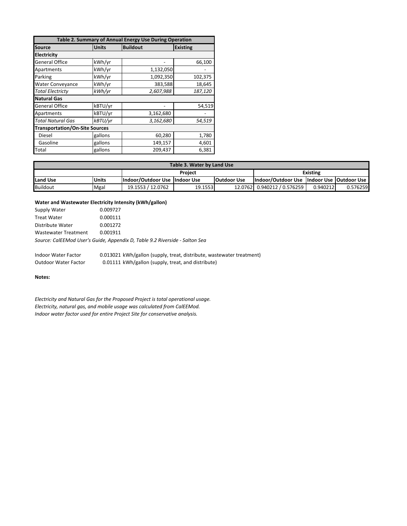| Table 2. Summary of Annual Energy Use During Operation |              |                 |                 |  |  |  |  |  |
|--------------------------------------------------------|--------------|-----------------|-----------------|--|--|--|--|--|
| <b>Source</b>                                          | <b>Units</b> | <b>Buildout</b> | <b>Existing</b> |  |  |  |  |  |
| <b>Electricity</b>                                     |              |                 |                 |  |  |  |  |  |
| <b>General Office</b>                                  | kWh/yr       |                 | 66,100          |  |  |  |  |  |
| Apartments                                             | kWh/yr       | 1,132,050       |                 |  |  |  |  |  |
| Parking                                                | kWh/yr       | 1,092,350       | 102,375         |  |  |  |  |  |
| <b>Water Conveyance</b>                                | kWh/yr       | 383,588         | 18,645          |  |  |  |  |  |
| <b>Total Electricty</b>                                | kWh/yr       | 2,607,988       | 187,120         |  |  |  |  |  |
| <b>Natural Gas</b>                                     |              |                 |                 |  |  |  |  |  |
| <b>General Office</b>                                  | kBTU/yr      |                 | 54,519          |  |  |  |  |  |
| Apartments                                             | kBTU/yr      | 3,162,680       |                 |  |  |  |  |  |
| <b>Total Natural Gas</b>                               | kBTU/yr      | 3,162,680       | 54,519          |  |  |  |  |  |
| <b>Transportation/On-Site Sources</b>                  |              |                 |                 |  |  |  |  |  |
| Diesel                                                 | gallons      | 60,280          | 1,780           |  |  |  |  |  |
| Gasoline                                               | gallons      | 149,157         | 4,601           |  |  |  |  |  |
| Total                                                  | gallons      | 209,437         | 6,381           |  |  |  |  |  |

| Table 3. Water by Land Use |              |                                 |         |                    |                                             |          |          |  |  |  |
|----------------------------|--------------|---------------------------------|---------|--------------------|---------------------------------------------|----------|----------|--|--|--|
| <b>Project</b>             |              |                                 |         |                    | <b>Existing</b>                             |          |          |  |  |  |
| Land Use                   | <b>Units</b> | Indoor/Outdoor Use   Indoor Use |         | <b>Outdoor Use</b> | Indoor/Outdoor Use  Indoor Use  Outdoor Use |          |          |  |  |  |
| <b>Buildout</b>            | Mgal         | 19.1553 / 12.0762               | 19.1553 |                    | 12.0762 0.940212 / 0.576259                 | 0.940212 | 0.576259 |  |  |  |

## **Water and Wastewater Electricity Intensity (kWh/gallon)**

| Supply Water         | 0.009727                                                                    |
|----------------------|-----------------------------------------------------------------------------|
| Treat Water          | 0.000111                                                                    |
| Distribute Water     | 0.001272                                                                    |
| Wastewater Treatment | 0.001911                                                                    |
|                      | Source: CalEEMod User's Guide, Appendix D, Table 9.2 Riverside - Salton Sea |

Indoor Water Factor 0.013021 kWh/gallon (supply, treat, distribute, wastewater treatment) Outdoor Water Factor 0.01111 kWh/gallon (supply, treat, and distribute)

**Notes:**

*Electricity and Natural Gas for the Proposed Project is total operational usage. Electricity, natural gas, and mobile usage was calculated from CalEEMod. Indoor water factor used for entire Project Site for conservative analysis.*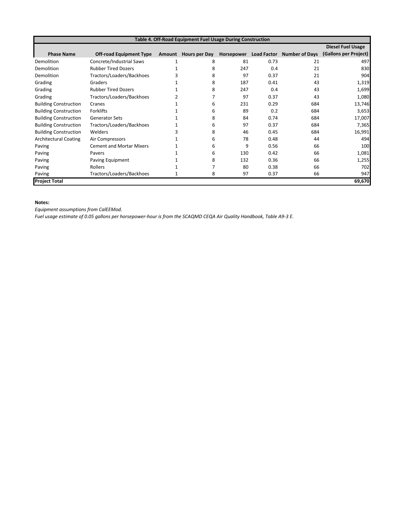| Table 4. Off-Road Equipment Fuel Usage During Construction |                                 |              |               |            |      |                            |                          |  |  |  |
|------------------------------------------------------------|---------------------------------|--------------|---------------|------------|------|----------------------------|--------------------------|--|--|--|
|                                                            |                                 |              |               |            |      |                            | <b>Diesel Fuel Usage</b> |  |  |  |
| <b>Phase Name</b>                                          | <b>Off-road Equipment Type</b>  | Amount       | Hours per Day | Horsepower |      | Load Factor Number of Days | (Gallons per Project)    |  |  |  |
| Demolition                                                 | Concrete/Industrial Saws        | $\mathbf{1}$ | 8             | 81         | 0.73 | 21                         | 497                      |  |  |  |
| Demolition                                                 | <b>Rubber Tired Dozers</b>      |              | 8             | 247        | 0.4  | 21                         | 830                      |  |  |  |
| Demolition                                                 | Tractors/Loaders/Backhoes       |              | 8             | 97         | 0.37 | 21                         | 904                      |  |  |  |
| Grading                                                    | Graders                         |              | 8             | 187        | 0.41 | 43                         | 1,319                    |  |  |  |
| Grading                                                    | <b>Rubber Tired Dozers</b>      |              | 8             | 247        | 0.4  | 43                         | 1,699                    |  |  |  |
| Grading                                                    | Tractors/Loaders/Backhoes       |              |               | 97         | 0.37 | 43                         | 1,080                    |  |  |  |
| <b>Building Construction</b>                               | Cranes                          |              | 6             | 231        | 0.29 | 684                        | 13,746                   |  |  |  |
| <b>Building Construction</b>                               | Forklifts                       |              | 6             | 89         | 0.2  | 684                        | 3,653                    |  |  |  |
| <b>Building Construction</b>                               | <b>Generator Sets</b>           |              | 8             | 84         | 0.74 | 684                        | 17,007                   |  |  |  |
| <b>Building Construction</b>                               | Tractors/Loaders/Backhoes       |              | 6             | 97         | 0.37 | 684                        | 7,365                    |  |  |  |
| <b>Building Construction</b>                               | Welders                         |              | 8             | 46         | 0.45 | 684                        | 16,991                   |  |  |  |
| <b>Architectural Coating</b>                               | Air Compressors                 |              | 6             | 78         | 0.48 | 44                         | 494                      |  |  |  |
| Paving                                                     | <b>Cement and Mortar Mixers</b> |              | 6             | 9          | 0.56 | 66                         | 100                      |  |  |  |
| Paving                                                     | Pavers                          |              | 6             | 130        | 0.42 | 66                         | 1,081                    |  |  |  |
| Paving                                                     | Paving Equipment                |              | 8             | 132        | 0.36 | 66                         | 1,255                    |  |  |  |
| Paving                                                     | Rollers                         |              |               | 80         | 0.38 | 66                         | 702                      |  |  |  |
| Paving                                                     | Tractors/Loaders/Backhoes       |              | 8             | 97         | 0.37 | 66                         | 947                      |  |  |  |
| <b>Project Total</b>                                       |                                 |              |               |            |      |                            | 69,670                   |  |  |  |

# **Notes:**

*Equipment assumptions from CalEEMod.*

*Fuel usage estimate of 0.05 gallons per horsepower-hour is from the SCAQMD CEQA Air Quality Handbook, Table A9-3 E.*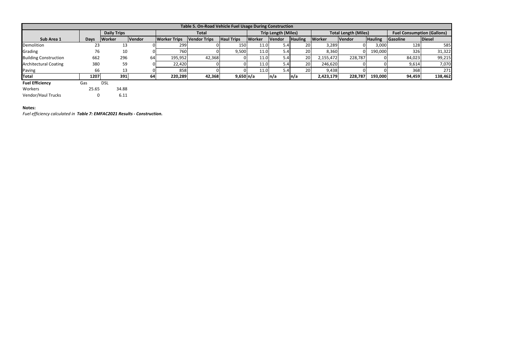| Table 5. On-Road Vehicle Fuel Usage During Construction |             |                    |               |                     |                     |                       |                            |        |                             |               |         |                                   |          |               |
|---------------------------------------------------------|-------------|--------------------|---------------|---------------------|---------------------|-----------------------|----------------------------|--------|-----------------------------|---------------|---------|-----------------------------------|----------|---------------|
|                                                         |             | <b>Daily Trips</b> |               |                     | <b>Total</b>        |                       | <b>Trip Length (Miles)</b> |        | <b>Total Length (Miles)</b> |               |         | <b>Fuel Consumption (Gallons)</b> |          |               |
| Sub Area 1                                              | <b>Days</b> | Worker             | <b>Vendor</b> | <b>Worker Trips</b> | <b>Vendor Trips</b> | <b>Haul Trips</b>     | <b>Worker</b>              | Vendor | <b>Hauling</b>              | <b>Worker</b> | Vendor  | <b>Hauling</b>                    | Gasoline | <b>Diesel</b> |
| Demolition                                              | 23          | 13                 |               | 299                 |                     | 150                   | 11.0                       | 5.41   | <b>20I</b>                  | 3,289         |         | 3,000                             | 128      | 585           |
| Grading                                                 | 76          | 10                 |               | 760                 |                     | 9,500                 | 11.0                       | 5.4    | 20                          | 8,360         |         | 190,000                           | 326      | 31,322        |
| <b>Building Construction</b>                            | 662         | 296                | 64            | 195,952             | 42,368              |                       | 11.0                       | 5.4    | 20                          | 2,155,472     | 228,787 |                                   | 84,023   | 99,215        |
| <b>Architectural Coating</b>                            | 380         | 59                 |               | 22,420              |                     |                       | 11.0                       | 5.4    | 20                          | 246,620       |         |                                   | 9,614    | 7,070         |
| Paving                                                  | 66          | 13                 |               | 858                 |                     |                       | 11.0                       | 5.41   | <b>201</b>                  | 9,438         |         |                                   | 368      | 271           |
| Total                                                   | 1207        | 391                | 64            | 220,289             | 42,368              | $9,650 \, \text{m/a}$ |                            | n/a    | n/a                         | 2,423,179     | 228,787 | 193,000                           | 94,459   | 138,462       |
| <b>Fuel Efficiency</b>                                  | Gas         | <b>DSL</b>         |               |                     |                     |                       |                            |        |                             |               |         |                                   |          |               |
| <i>Maricano</i>                                         | 25.05       | <b>24.00</b>       |               |                     |                     |                       |                            |        |                             |               |         |                                   |          |               |

Workers 25.65 34.88<br>Vendor/Haul Trucks 0 6.11 Vendor/Haul Trucks

# **Notes:**

*Fuel efficiency calculated in Table 7: EMFAC2021 Results - Construction.*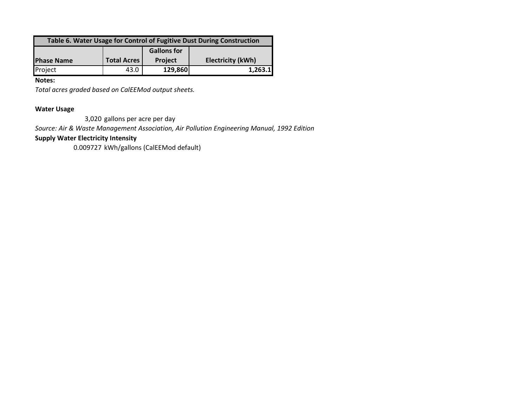| Table 6. Water Usage for Control of Fugitive Dust During Construction |                    |                    |                          |  |  |  |  |  |
|-----------------------------------------------------------------------|--------------------|--------------------|--------------------------|--|--|--|--|--|
|                                                                       |                    | <b>Gallons for</b> |                          |  |  |  |  |  |
| <b>Phase Name</b>                                                     | <b>Total Acres</b> | <b>Project</b>     | <b>Electricity (kWh)</b> |  |  |  |  |  |
| Project                                                               | 43.0               | 129,860            | 1,263.1                  |  |  |  |  |  |

**Notes:**

*Total acres graded based on CalEEMod output sheets.*

# **Water Usage**

3,020 gallons per acre per day

*Source: Air & Waste Management Association, Air Pollution Engineering Manual, 1992 Edition*

# **Supply Water Electricity Intensity**

0.009727 kWh/gallons (CalEEMod default)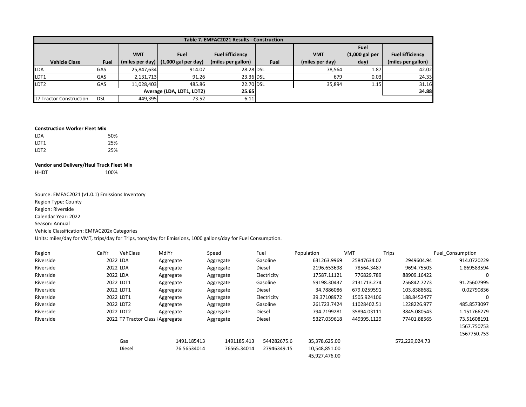|                                | Table 7. EMFAC2021 Results - Construction |                 |                       |                        |             |                 |                  |                        |  |  |  |
|--------------------------------|-------------------------------------------|-----------------|-----------------------|------------------------|-------------|-----------------|------------------|------------------------|--|--|--|
|                                |                                           |                 |                       |                        |             |                 | <b>Fuel</b>      |                        |  |  |  |
|                                |                                           | <b>VMT</b>      | <b>Fuel</b>           | <b>Fuel Efficiency</b> |             | <b>VMT</b>      | $(1,000$ gal per | <b>Fuel Efficiency</b> |  |  |  |
| <b>Vehicle Class</b>           | Fuel                                      | (miles per day) | $(1,000$ gal per day) | (miles per gallon)     | <b>Fuel</b> | (miles per day) | day)             | (miles per gallon)     |  |  |  |
| <b>LDA</b>                     | <b>GAS</b>                                | 25,847,634      | 914.07                | 28.28 DSL              |             | 78,564          | 1.87             | 42.02                  |  |  |  |
| LDT1                           | <b>GAS</b>                                | 2,131,713       | 91.26                 | 23.36 DSL              |             | 679             | 0.03             | 24.33                  |  |  |  |
| LDT <sub>2</sub>               | <b>GAS</b>                                | 11,028,403      | 485.86                | 22.70 DSL              |             | 35,894          | 1.15             | 31.16                  |  |  |  |
| Average (LDA, LDT1, LDT2)      |                                           |                 | 25.65                 |                        |             |                 | 34.88            |                        |  |  |  |
| <b>T7 Tractor Construction</b> | <b>DSL</b>                                | 449.395         | 73.52                 | 6.11                   |             |                 |                  |                        |  |  |  |

#### **Construction Worker Fleet Mix**

| I DA  | 50% |
|-------|-----|
| I DT1 | 25% |
| 1DT2  | 25% |

## **Vendor and Delivery/Haul Truck Fleet Mix**

HHDT 100%

Source: EMFAC2021 (v1.0.1) Emissions Inventory Region Type: County Region: Riverside Calendar Year: 2022 Season: Annual Vehicle Classification: EMFAC202x Categories

Units: miles/day for VMT, trips/day for Trips, tons/day for Emissions, 1000 gallons/day for Fuel Consumption.

| Region    | CalYr | VehClass                          | MdlYr       | Speed       | Fuel        | Population    | VMT         | Trips          | Fuel Consumption |
|-----------|-------|-----------------------------------|-------------|-------------|-------------|---------------|-------------|----------------|------------------|
| Riverside |       | 2022 LDA                          | Aggregate   | Aggregate   | Gasoline    | 631263.9969   | 25847634.02 | 2949604.94     | 914.0720229      |
| Riverside |       | 2022 LDA                          | Aggregate   | Aggregate   | Diesel      | 2196.653698   | 78564.3487  | 9694.75503     | 1.869583594      |
| Riverside |       | 2022 LDA                          | Aggregate   | Aggregate   | Electricity | 17587.11121   | 776829.789  | 88909.16422    | 0                |
| Riverside |       | 2022 LDT1                         | Aggregate   | Aggregate   | Gasoline    | 59198.30437   | 2131713.274 | 256842.7273    | 91.25607995      |
| Riverside |       | 2022 LDT1                         | Aggregate   | Aggregate   | Diesel      | 34.7886086    | 679.0259591 | 103.8388682    | 0.02790836       |
| Riverside |       | 2022 LDT1                         | Aggregate   | Aggregate   | Electricity | 39.37108972   | 1505.924106 | 188.8452477    | 0                |
| Riverside |       | 2022 LDT2                         | Aggregate   | Aggregate   | Gasoline    | 261723.7424   | 11028402.51 | 1228226.977    | 485.8573097      |
| Riverside |       | 2022 LDT2                         | Aggregate   | Aggregate   | Diesel      | 794.7199281   | 35894.03111 | 3845.080543    | 1.151766279      |
| Riverside |       | 2022 T7 Tractor Class : Aggregate |             | Aggregate   | Diesel      | 5327.039618   | 449395.1129 | 77401.88565    | 73.51608191      |
|           |       |                                   |             |             |             |               |             |                | 1567.750753      |
|           |       |                                   |             |             |             |               |             |                | 1567750.753      |
|           |       | Gas                               | 1491.185413 | 1491185.413 | 544282675.6 | 35,378,625.00 |             | 572,229,024.73 |                  |
|           |       | Diesel                            | 76.56534014 | 76565.34014 | 27946349.15 | 10,548,851.00 |             |                |                  |
|           |       |                                   |             |             |             | 45.927.476.00 |             |                |                  |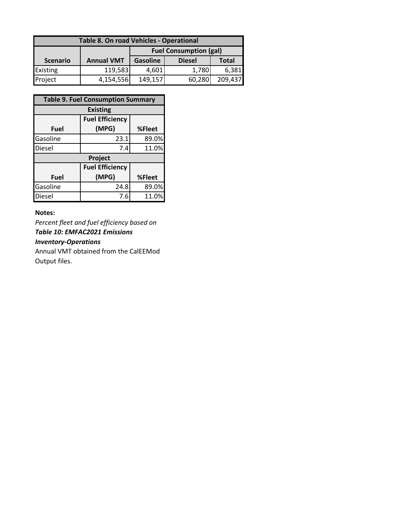| Table 8. On road Vehicles - Operational |                   |                               |               |              |  |  |  |  |  |
|-----------------------------------------|-------------------|-------------------------------|---------------|--------------|--|--|--|--|--|
|                                         |                   | <b>Fuel Consumption (gal)</b> |               |              |  |  |  |  |  |
| <b>Scenario</b>                         | <b>Annual VMT</b> | <b>Gasoline</b>               | <b>Diesel</b> | <b>Total</b> |  |  |  |  |  |
| <b>Existing</b>                         | 119,583           | 4,601                         | 1,780         | 6,381        |  |  |  |  |  |
| Project                                 | 4,154,556         | 149,157                       | 60,280        | 209,437      |  |  |  |  |  |

|          | <b>Table 9. Fuel Consumption Summary</b> |        |  |  |  |  |  |  |  |
|----------|------------------------------------------|--------|--|--|--|--|--|--|--|
|          | <b>Existing</b>                          |        |  |  |  |  |  |  |  |
|          | <b>Fuel Efficiency</b>                   |        |  |  |  |  |  |  |  |
| Fuel     | (MPG)                                    | %Fleet |  |  |  |  |  |  |  |
| Gasoline | 23.1                                     | 89.0%  |  |  |  |  |  |  |  |
| Diesel   | 7.4                                      | 11.0%  |  |  |  |  |  |  |  |
|          | Project                                  |        |  |  |  |  |  |  |  |
|          | <b>Fuel Efficiency</b>                   |        |  |  |  |  |  |  |  |
| Fuel     | (MPG)                                    | %Fleet |  |  |  |  |  |  |  |
| Gasoline | 24.8                                     | 89.0%  |  |  |  |  |  |  |  |
| Diesel   | 7.6                                      | 11.0%  |  |  |  |  |  |  |  |

# **Notes:**

*Percent fleet and fuel efficiency based on Table 10: EMFAC2021 Emissions Inventory-Operations*

Annual VMT obtained from the CalEEMod Output files.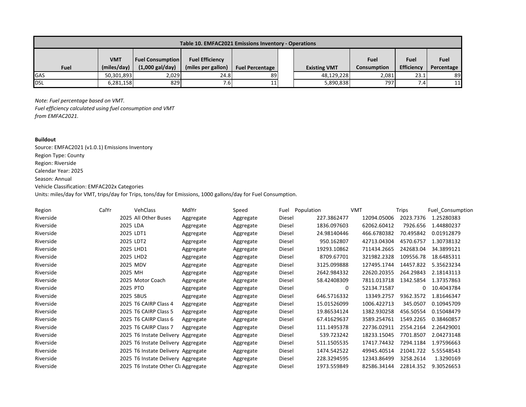| Table 10. EMFAC2021 Emissions Inventory - Operations |                           |                                                      |                                              |                        |  |                     |                     |                    |                    |
|------------------------------------------------------|---------------------------|------------------------------------------------------|----------------------------------------------|------------------------|--|---------------------|---------------------|--------------------|--------------------|
| <b>Fuel</b>                                          | <b>VMT</b><br>(miles/day) | <b>Fuel Consumption</b><br>$(1,000 \text{ gal/day})$ | <b>Fuel Efficiency</b><br>(miles per gallon) | <b>Fuel Percentage</b> |  | <b>Existing VMT</b> | Fuel<br>Consumption | Fuel<br>Efficiency | Fuel<br>Percentage |
| GAS                                                  | 50,301,893                | 2,029                                                | 24.8                                         | 89                     |  | 48,129,228          | 2,081               | 23.1               | 89                 |
| DSL                                                  | 6,281,158                 | 829                                                  | 7.6I                                         | 11                     |  | 5,890,838           | 797                 | 7.4                | 11                 |

*Note: Fuel percentage based on VMT.*

*Fuel efficiency calculated using fuel consumption and VMT from EMFAC2021.*

## **Buildout**

Source: EMFAC2021 (v1.0.1) Emissions Inventory Region Type: County Region: Riverside Calendar Year: 2025 Season: Annual Vehicle Classification: EMFAC202x Categories

Units: miles/day for VMT, trips/day for Trips, tons/day for Emissions, 1000 gallons/day for Fuel Consumption.

| Region    | CalYr | <b>VehClass</b>                     | MdlYr     | Speed     | Fuel   | Population  | <b>VMT</b>  | Trips     | <b>Fuel Consumption</b> |
|-----------|-------|-------------------------------------|-----------|-----------|--------|-------------|-------------|-----------|-------------------------|
| Riverside |       | 2025 All Other Buses                | Aggregate | Aggregate | Diesel | 227.3862477 | 12094.05006 | 2023.7376 | 1.25280383              |
| Riverside |       | 2025 LDA                            | Aggregate | Aggregate | Diesel | 1836.097603 | 62062.60412 | 7926.656  | 1.44880237              |
| Riverside |       | 2025 LDT1                           | Aggregate | Aggregate | Diesel | 24.98140446 | 466.6780382 | 70.495842 | 0.01912879              |
| Riverside |       | 2025 LDT2                           | Aggregate | Aggregate | Diesel | 950.162807  | 42713.04304 | 4570.6757 | 1.30738132              |
| Riverside |       | 2025 LHD1                           | Aggregate | Aggregate | Diesel | 19293.10862 | 711434.2665 | 242683.04 | 34.3899121              |
| Riverside |       | 2025 LHD2                           | Aggregate | Aggregate | Diesel | 8709.67701  | 321982.2328 | 109556.78 | 18.6485311              |
| Riverside |       | 2025 MDV                            | Aggregate | Aggregate | Diesel | 3125.099888 | 127495.1744 | 14457.822 | 5.35623234              |
| Riverside |       | 2025 MH                             | Aggregate | Aggregate | Diesel | 2642.984332 | 22620.20355 | 264.29843 | 2.18143113              |
| Riverside |       | 2025 Motor Coach                    | Aggregate | Aggregate | Diesel | 58.42408309 | 7811.013718 | 1342.5854 | 1.37357863              |
| Riverside |       | 2025 PTO                            | Aggregate | Aggregate | Diesel | 0           | 52134.71587 | 0         | 10.4043784              |
| Riverside |       | 2025 SBUS                           | Aggregate | Aggregate | Diesel | 646.5716332 | 13349.2757  | 9362.3572 | 1.81646347              |
| Riverside |       | 2025 T6 CAIRP Class 4               | Aggregate | Aggregate | Diesel | 15.01526099 | 1006.422713 | 345.0507  | 0.10945709              |
| Riverside |       | 2025 T6 CAIRP Class 5               | Aggregate | Aggregate | Diesel | 19.86534124 | 1382.930258 | 456.50554 | 0.15048479              |
| Riverside |       | 2025 T6 CAIRP Class 6               | Aggregate | Aggregate | Diesel | 67.41629637 | 3589.254761 | 1549.2265 | 0.38460857              |
| Riverside |       | 2025 T6 CAIRP Class 7               | Aggregate | Aggregate | Diesel | 111.1495378 | 22736.02911 | 2554.2164 | 2.26429001              |
| Riverside |       | 2025 T6 Instate Delivery Aggregate  |           | Aggregate | Diesel | 539.723242  | 18233.15045 | 7701.8507 | 2.04273148              |
| Riverside |       | 2025 T6 Instate Delivery Aggregate  |           | Aggregate | Diesel | 511.1505535 | 17417.74432 | 7294.1184 | 1.97596663              |
| Riverside |       | 2025 T6 Instate Delivery Aggregate  |           | Aggregate | Diesel | 1474.542522 | 49945.40514 | 21041.722 | 5.55548543              |
| Riverside |       | 2025 T6 Instate Delivery Aggregate  |           | Aggregate | Diesel | 228.3294595 | 12343.86499 | 3258.2614 | 1.3290169               |
| Riverside |       | 2025 T6 Instate Other Cla Aggregate |           | Aggregate | Diesel | 1973.559849 | 82586.34144 | 22814.352 | 9.30526653              |
|           |       |                                     |           |           |        |             |             |           |                         |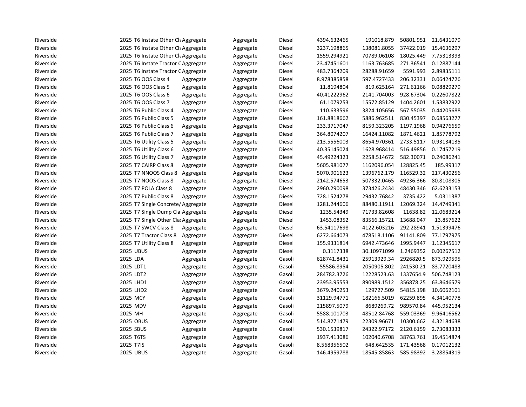| Riverside | 2025 T6 Instate Other Cla Aggregate |           | Aggregate | Diesel | 4394.632465 | 191018.879  | 50801.951 | 21.6431079 |
|-----------|-------------------------------------|-----------|-----------|--------|-------------|-------------|-----------|------------|
| Riverside | 2025 T6 Instate Other Cla Aggregate |           | Aggregate | Diesel | 3237.198865 | 138081.8055 | 37422.019 | 15.4636297 |
| Riverside | 2025 T6 Instate Other Cla Aggregate |           | Aggregate | Diesel | 1559.294921 | 70789.06108 | 18025.449 | 7.75313393 |
| Riverside | 2025 T6 Instate Tractor C Aggregate |           | Aggregate | Diesel | 23.47451601 | 1163.763685 | 271.36541 | 0.12887144 |
| Riverside | 2025 T6 Instate Tractor C Aggregate |           | Aggregate | Diesel | 483.7364209 | 28288.91659 | 5591.993  | 2.89835111 |
| Riverside | 2025 T6 OOS Class 4                 | Aggregate | Aggregate | Diesel | 8.978385858 | 597.4727433 | 206.32331 | 0.06424726 |
| Riverside | 2025 T6 OOS Class 5                 | Aggregate | Aggregate | Diesel | 11.8194804  | 819.625164  | 271.61166 | 0.08829279 |
| Riverside | 2025 T6 OOS Class 6                 | Aggregate | Aggregate | Diesel | 40.41222962 | 2141.704003 | 928.67304 | 0.22607822 |
| Riverside | 2025 T6 OOS Class 7                 | Aggregate | Aggregate | Diesel | 61.1079253  | 15572.85129 | 1404.2601 | 1.53832922 |
| Riverside | 2025 T6 Public Class 4              | Aggregate | Aggregate | Diesel | 110.633596  | 3824.105656 | 567.55035 | 0.44205688 |
| Riverside | 2025 T6 Public Class 5              | Aggregate | Aggregate | Diesel | 161.8818662 | 5886.962511 | 830.45397 | 0.68563277 |
| Riverside | 2025 T6 Public Class 6              | Aggregate | Aggregate | Diesel | 233.3717047 | 8159.323205 | 1197.1968 | 0.94276659 |
| Riverside | 2025 T6 Public Class 7              | Aggregate | Aggregate | Diesel | 364.8074207 | 16424.11082 | 1871.4621 | 1.85778792 |
| Riverside | 2025 T6 Utility Class 5             | Aggregate | Aggregate | Diesel | 213.5556003 | 8654.970361 | 2733.5117 | 0.93134135 |
| Riverside | 2025 T6 Utility Class 6             | Aggregate | Aggregate | Diesel | 40.35145024 | 1628.968414 | 516.49856 | 0.17457219 |
| Riverside | 2025 T6 Utility Class 7             | Aggregate | Aggregate | Diesel | 45.49224323 | 2258.514672 | 582.30071 | 0.24086241 |
| Riverside | 2025 T7 CAIRP Class 8               | Aggregate | Aggregate | Diesel | 5605.981077 | 1162096.054 | 128825.45 | 185.99317  |
| Riverside | 2025 T7 NNOOS Class 8               | Aggregate | Aggregate | Diesel | 5070.901623 | 1396762.179 | 116529.32 | 217.430256 |
| Riverside | 2025 T7 NOOS Class 8                | Aggregate | Aggregate | Diesel | 2142.574653 | 507332.0465 | 49236.366 | 80.8108305 |
| Riverside | 2025 T7 POLA Class 8                | Aggregate | Aggregate | Diesel | 2960.290098 | 373426.2434 | 48430.346 | 62.6233153 |
| Riverside | 2025 T7 Public Class 8              | Aggregate | Aggregate | Diesel | 728.1524278 | 29432.76842 | 3735.422  | 5.0311387  |
| Riverside | 2025 T7 Single Concrete/ Aggregate  |           | Aggregate | Diesel | 1281.244606 | 88480.11911 | 12069.324 | 14.4749341 |
| Riverside | 2025 T7 Single Dump Cla Aggregate   |           | Aggregate | Diesel | 1235.54349  | 71733.82608 | 11638.82  | 12.0683214 |
| Riverside | 2025 T7 Single Other Cla: Aggregate |           | Aggregate | Diesel | 1453.08352  | 83566.15721 | 13688.047 | 13.857622  |
| Riverside | 2025 T7 SWCV Class 8                | Aggregate | Aggregate | Diesel | 63.54117698 | 4122.603216 | 292.28941 | 1.51399476 |
| Riverside | 2025 T7 Tractor Class 8             | Aggregate | Aggregate | Diesel | 6272.664073 | 478518.1106 | 91141.809 | 77.1797975 |
| Riverside | 2025 T7 Utility Class 8             | Aggregate | Aggregate | Diesel | 155.9331814 | 6942.473646 | 1995.9447 | 1.12345617 |
| Riverside | <b>2025 UBUS</b>                    | Aggregate | Aggregate | Diesel | 0.3117338   | 30.10971099 | 1.2469352 | 0.00267512 |
| Riverside | 2025 LDA                            | Aggregate | Aggregate | Gasoli | 628741.8431 | 25913929.34 | 2926820.5 | 873.929595 |
| Riverside | 2025 LDT1                           | Aggregate | Aggregate | Gasoli | 55586.8954  | 2050905.802 | 241530.21 | 83.7720483 |
| Riverside | 2025 LDT2                           | Aggregate | Aggregate | Gasoli | 284782.3726 | 12228523.63 | 1337654.9 | 506.748123 |
| Riverside | 2025 LHD1                           | Aggregate | Aggregate | Gasoli | 23953.95553 | 890989.1512 | 356878.25 | 63.8646579 |
| Riverside | 2025 LHD2                           | Aggregate | Aggregate | Gasoli | 3679.240253 | 129727.509  | 54815.198 | 10.6062101 |
| Riverside | 2025 MCY                            | Aggregate | Aggregate | Gasoli | 31129.94771 | 182166.5019 | 62259.895 | 4.34140778 |
| Riverside | 2025 MDV                            | Aggregate | Aggregate | Gasoli | 215897.5079 | 8689269.72  | 989570.84 | 445.952134 |
| Riverside | 2025 MH                             | Aggregate | Aggregate | Gasoli | 5588.101703 | 48512.84768 | 559.03369 | 9.96416562 |
| Riverside | 2025 OBUS                           | Aggregate | Aggregate | Gasoli | 514.8271479 | 22309.96671 | 10300.662 | 4.32184638 |
| Riverside | 2025 SBUS                           | Aggregate | Aggregate | Gasoli | 530.1539817 | 24322.97172 | 2120.6159 | 2.73083333 |
| Riverside | 2025 T6TS                           | Aggregate | Aggregate | Gasoli | 1937.413086 | 102040.6708 | 38763.761 | 19.4514874 |
| Riverside | 2025 T7IS                           | Aggregate | Aggregate | Gasoli | 8.568356502 | 648.642535  | 171.43568 | 0.17012132 |
| Riverside | <b>2025 UBUS</b>                    | Aggregate | Aggregate | Gasoli | 146.4959788 | 18545.85863 | 585.98392 | 3.28854319 |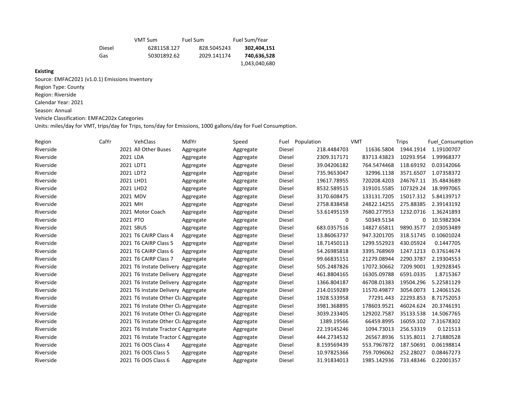|        | VMT Sum     | Fuel Sum    | Fuel Sum/Year |
|--------|-------------|-------------|---------------|
| Diesel | 6281158.127 | 828.5045243 | 302,404,151   |
| Gas    | 50301892.62 | 2029.141174 | 740,636,528   |
|        |             |             | 1,043,040,680 |

# **Existing**

Source: EMFAC2021 (v1.0.1) Emissions Inventory Region Type: County Region: Riverside Calendar Year: 2021 Season: Annual Vehicle Classification: EMFAC202x Categories

Units: miles/day for VMT, trips/day for Trips, tons/day for Emissions, 1000 gallons/day for Fuel Consumption.

| Region    | CalYr | <b>VehClass</b>                     | MdlYr     | Speed     | Fuel   | Population  | <b>VMT</b>  | <b>Trips</b> | <b>Fuel Consumption</b> |
|-----------|-------|-------------------------------------|-----------|-----------|--------|-------------|-------------|--------------|-------------------------|
| Riverside |       | 2021 All Other Buses                | Aggregate | Aggregate | Diesel | 218.4484703 | 11636.5804  | 1944.1914    | 1.19100707              |
| Riverside |       | 2021 LDA                            | Aggregate | Aggregate | Diesel | 2309.317171 | 83713.43823 | 10293.954    | 1.99968377              |
| Riverside |       | 2021 LDT1                           | Aggregate | Aggregate | Diesel | 39.04206182 | 764.5474468 | 118.69192    | 0.03142066              |
| Riverside |       | 2021 LDT2                           | Aggregate | Aggregate | Diesel | 735.9653047 | 32996.1138  | 3571.6507    | 1.07358372              |
| Riverside |       | 2021 LHD1                           | Aggregate | Aggregate | Diesel | 19617.78955 | 720208.4203 | 246767.11    | 35.4843689              |
| Riverside |       | 2021 LHD2                           | Aggregate | Aggregate | Diesel | 8532.589515 | 319101.5585 | 107329.24    | 18.9997065              |
| Riverside |       | 2021 MDV                            | Aggregate | Aggregate | Diesel | 3170.608475 | 133131.7205 | 15017.312    | 5.84139717              |
| Riverside |       | 2021 MH                             | Aggregate | Aggregate | Diesel | 2758.838458 | 24822.14255 | 275.88385    | 2.39143192              |
| Riverside |       | 2021 Motor Coach                    | Aggregate | Aggregate | Diesel | 53.61495159 | 7680.277953 | 1232.0716    | 1.36241893              |
| Riverside |       | 2021 PTO                            | Aggregate | Aggregate | Diesel | 0           | 50349.5134  | 0            | 10.5982304              |
| Riverside |       | 2021 SBUS                           | Aggregate | Aggregate | Diesel | 683.0357516 | 14827.65811 | 9890.3577    | 2.03053489              |
| Riverside |       | 2021 T6 CAIRP Class 4               | Aggregate | Aggregate | Diesel | 13.86063737 | 947.3201705 | 318.51745    | 0.10601024              |
| Riverside |       | 2021 T6 CAIRP Class 5               | Aggregate | Aggregate | Diesel | 18.71450113 | 1299.552923 | 430.05924    | 0.1447705               |
| Riverside |       | 2021 T6 CAIRP Class 6               | Aggregate | Aggregate | Diesel | 54.26985818 | 3395.768969 | 1247.1213    | 0.37614674              |
| Riverside |       | 2021 T6 CAIRP Class 7               | Aggregate | Aggregate | Diesel | 99.66835151 | 21279.08944 | 2290.3787    | 2.19304553              |
| Riverside |       | 2021 T6 Instate Delivery Aggregate  |           | Aggregate | Diesel | 505.2487826 | 17072.30662 | 7209.9001    | 1.92928345              |
| Riverside |       | 2021 T6 Instate Delivery Aggregate  |           | Aggregate | Diesel | 461.8804165 | 16305.09788 | 6591.0335    | 1.8715367               |
| Riverside |       | 2021 T6 Instate Delivery Aggregate  |           | Aggregate | Diesel | 1366.804187 | 46708.01383 | 19504.296    | 5.22581129              |
| Riverside |       | 2021 T6 Instate Delivery Aggregate  |           | Aggregate | Diesel | 214.0159289 | 11570.49877 | 3054.0073    | 1.24061526              |
| Riverside |       | 2021 T6 Instate Other Cla Aggregate |           | Aggregate | Diesel | 1928.533958 | 77291.443   | 22293.853    | 8.71752053              |
| Riverside |       | 2021 T6 Instate Other Cla Aggregate |           | Aggregate | Diesel | 3981.368895 | 178603.9521 | 46024.624    | 20.3746191              |
| Riverside |       | 2021 T6 Instate Other Cla Aggregate |           | Aggregate | Diesel | 3039.233405 | 129202.7587 | 35133.538    | 14.5067765              |
| Riverside |       | 2021 T6 Instate Other Cla Aggregate |           | Aggregate | Diesel | 1389.19566  | 66459.8995  | 16059.102    | 7.31678302              |
| Riverside |       | 2021 T6 Instate Tractor C Aggregate |           | Aggregate | Diesel | 22.19145246 | 1094.73013  | 256.53319    | 0.121513                |
| Riverside |       | 2021 T6 Instate Tractor C Aggregate |           | Aggregate | Diesel | 444.2734532 | 26567.8936  | 5135.8011    | 2.71880528              |
| Riverside |       | 2021 T6 OOS Class 4                 | Aggregate | Aggregate | Diesel | 8.159569439 | 553.7967872 | 187.50691    | 0.06198814              |
| Riverside |       | 2021 T6 OOS Class 5                 | Aggregate | Aggregate | Diesel | 10.97825366 | 759.7096062 | 252.28027    | 0.08467273              |
| Riverside |       | 2021 T6 OOS Class 6                 | Aggregate | Aggregate | Diesel | 31.91834013 | 1985.142936 | 733.48346    | 0.22001357              |
|           |       |                                     |           |           |        |             |             |              |                         |